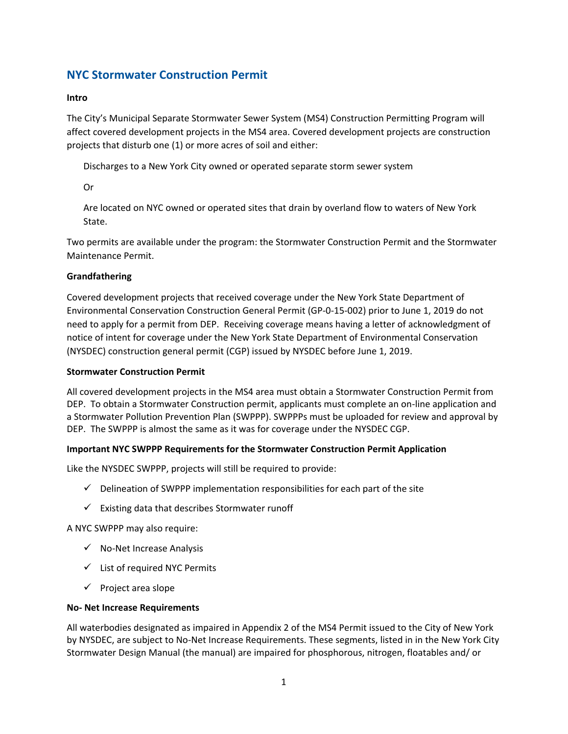# **NYC Stormwater Construction Permit**

### **Intro**

The City's Municipal Separate Stormwater Sewer System (MS4) Construction Permitting Program will affect covered development projects in the MS4 area. Covered development projects are construction projects that disturb one (1) or more acres of soil and either:

Discharges to a New York City owned or operated separate storm sewer system

Or

Are located on NYC owned or operated sites that drain by overland flow to waters of New York State.

Two permits are available under the program: the Stormwater Construction Permit and the Stormwater Maintenance Permit.

## **Grandfathering**

Covered development projects that received coverage under the New York State Department of Environmental Conservation Construction General Permit (GP-0-15-002) prior to June 1, 2019 do not need to apply for a permit from DEP. Receiving coverage means having a letter of acknowledgment of notice of intent for coverage under the New York State Department of Environmental Conservation (NYSDEC) construction general permit (CGP) issued by NYSDEC before June 1, 2019.

### **Stormwater Construction Permit**

All covered development projects in the MS4 area must obtain a Stormwater Construction Permit from DEP. To obtain a Stormwater Construction permit, applicants must complete an on-line application and a Stormwater Pollution Prevention Plan (SWPPP). SWPPPs must be uploaded for review and approval by DEP. The SWPPP is almost the same as it was for coverage under the NYSDEC CGP.

### **Important NYC SWPPP Requirements for the Stormwater Construction Permit Application**

Like the NYSDEC SWPPP, projects will still be required to provide:

- $\checkmark$  Delineation of SWPPP implementation responsibilities for each part of the site
- $\checkmark$  Existing data that describes Stormwater runoff

A NYC SWPPP may also require:

- $\checkmark$  No-Net Increase Analysis
- $\checkmark$  List of required NYC Permits
- $\checkmark$  Project area slope

### **No- Net Increase Requirements**

All waterbodies designated as impaired in Appendix 2 of the MS4 Permit issued to the City of New York by NYSDEC, are subject to No-Net Increase Requirements. These segments, listed in in the New York City Stormwater Design Manual (the manual) are impaired for phosphorous, nitrogen, floatables and/ or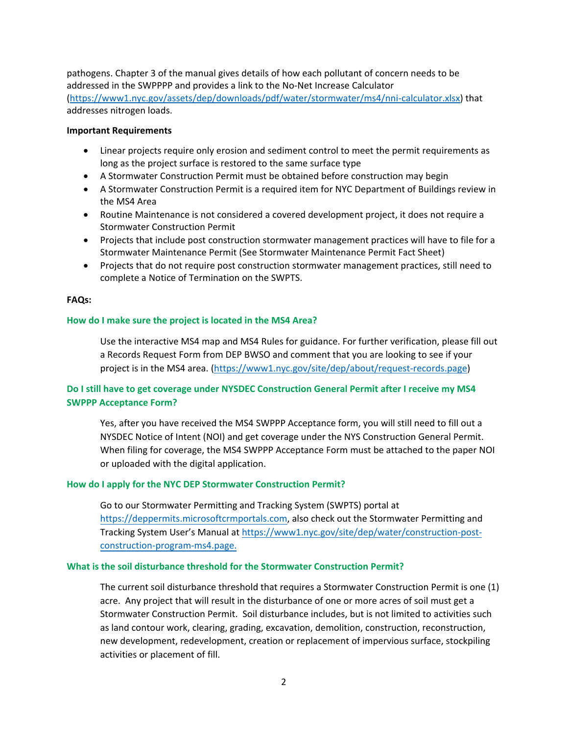pathogens. Chapter 3 of the manual gives details of how each pollutant of concern needs to be addressed in the SWPPPP and provides a link to the [No-Net Increase Calculator](https://www1.nyc.gov/assets/dep/downloads/pdf/water/stormwater/ms4/nni-calculator.xlsx) [\(https://www1.nyc.gov/assets/dep/downloads/pdf/water/stormwater/ms4/nni-calculator.xlsx\)](https://www1.nyc.gov/assets/dep/downloads/pdf/water/stormwater/ms4/nni-calculator.xlsx) that addresses nitrogen loads.

### **Important Requirements**

- Linear projects require only erosion and sediment control to meet the permit requirements as long as the project surface is restored to the same surface type
- A Stormwater Construction Permit must be obtained before construction may begin
- A Stormwater Construction Permit is a required item for NYC Department of Buildings review in the MS4 Area
- Routine Maintenance is not considered a covered development project, it does not require a Stormwater Construction Permit
- Projects that include post construction stormwater management practices will have to file for a Stormwater Maintenance Permit (See Stormwater Maintenance Permit Fact Sheet)
- Projects that do not require post construction stormwater management practices, still need to complete a Notice of Termination on the SWPTS.

### **FAQs:**

### **How do I make sure the project is located in the MS4 Area?**

Use the interactive MS4 map and MS4 Rules for guidance. For further verification, please fill out a Records Request Form from DEP BWSO and comment that you are looking to see if your project is in the MS4 area. [\(https://www1.nyc.gov/site/dep/about/request-records.page\)](https://www1.nyc.gov/site/dep/about/request-records.page)

# **Do I still have to get coverage under NYSDEC Construction General Permit after I receive my MS4 SWPPP Acceptance Form?**

Yes, after you have received the MS4 SWPPP Acceptance form, you will still need to fill out a NYSDEC Notice of Intent (NOI) and get coverage under the NYS Construction General Permit. When filing for coverage, the MS4 SWPPP Acceptance Form must be attached to the paper NOI or uploaded with the digital application.

#### **How do I apply for the NYC DEP Stormwater Construction Permit?**

Go to our Stormwater Permitting and Tracking System (SWPTS) portal at https://deppermits.microsoftcrmportals.com, also check out the Stormwater Permitting and Tracking System User's Manual at [https://www1.nyc.gov/site/dep/water/construction-post](https://www1.nyc.gov/site/dep/water/construction-post-construction-program-ms4.page)[construction-program-ms4.page.](https://www1.nyc.gov/site/dep/water/construction-post-construction-program-ms4.page)

### **What is the soil disturbance threshold for the Stormwater Construction Permit?**

The current soil disturbance threshold that requires a Stormwater Construction Permit is one (1) acre. Any project that will result in the disturbance of one or more acres of soil must get a Stormwater Construction Permit. Soil disturbance includes, but is not limited to activities such as land contour work, clearing, grading, excavation, demolition, construction, reconstruction, new development, redevelopment, creation or replacement of impervious surface, stockpiling activities or placement of fill.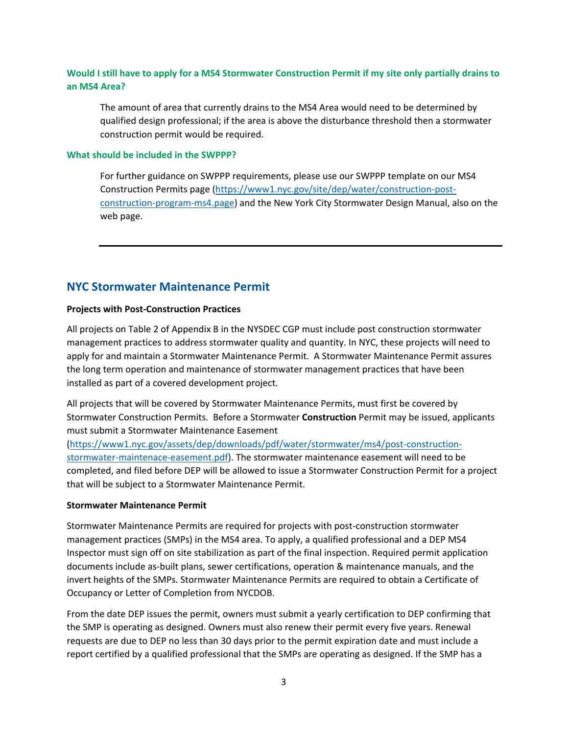## **Would I still have to apply for a MS4 Stormwater Construction Permit if my site only partially drains to an MS4 Area?**

The amount of area that currently drains to the MS4 Area would need to be determined by qualified design professional; if the area is above the disturbance threshold then a stormwater construction permit would be required.

#### **What should be included in the SWPPP?**

For further guidance on SWPPP requirements, please use our SWPPP template on our MS4 Construction Permits page [\(https://www1.nyc.gov/site/dep/water/construction-post](https://www1.nyc.gov/site/dep/water/construction-post-construction-program-ms4.page)[construction-program-ms4.page\)](https://www1.nyc.gov/site/dep/water/construction-post-construction-program-ms4.page) and the New York City Stormwater Design Manual, also on the web page.

# **NYC Stormwater Maintenance Permit**

### **Projects with Post-Construction Practices**

All projects on Table 2 of Appendix B in the NYSDEC CGP must include post construction stormwater management practices to address stormwater quality and quantity. In NYC, these projects will need to apply for and maintain a Stormwater Maintenance Permit. A Stormwater Maintenance Permit assures the long term operation and maintenance of stormwater management practices that have been installed as part of a covered development project.

All projects that will be covered by Stormwater Maintenance Permits, must first be covered by Stormwater Construction Permits. Before a Stormwater **Construction** Permit may be issued, applicants must submit a Stormwater Maintenance Easement

[\(https://www1.nyc.gov/assets/dep/downloads/pdf/water/stormwater/ms4/post-construction](https://www1.nyc.gov/assets/dep/downloads/pdf/water/stormwater/ms4/post-construction-stormwater-maintenace-easement.pdf)[stormwater-maintenace-easement.pdf\)](https://www1.nyc.gov/assets/dep/downloads/pdf/water/stormwater/ms4/post-construction-stormwater-maintenace-easement.pdf). The stormwater maintenance easement will need to be completed, and filed before DEP will be allowed to issue a Stormwater Construction Permit for a project that will be subject to a Stormwater Maintenance Permit.

### **Stormwater Maintenance Permit**

Stormwater Maintenance Permits are required for projects with post-construction stormwater management practices (SMPs) in the MS4 area. To apply, a qualified professional and a DEP MS4 Inspector must sign off on site stabilization as part of the final inspection. Required permit application documents include as-built plans, sewer certifications, operation & maintenance manuals, and the invert heights of the SMPs. Stormwater Maintenance Permits are required to obtain a Certificate of Occupancy or Letter of Completion from NYCDOB.

From the date DEP issues the permit, owners must submit a yearly certification to DEP confirming that the SMP is operating as designed. Owners must also renew their permit every five years. Renewal requests are due to DEP no less than 30 days prior to the permit expiration date and must include a report certified by a qualified professional that the SMPs are operating as designed. If the SMP has a